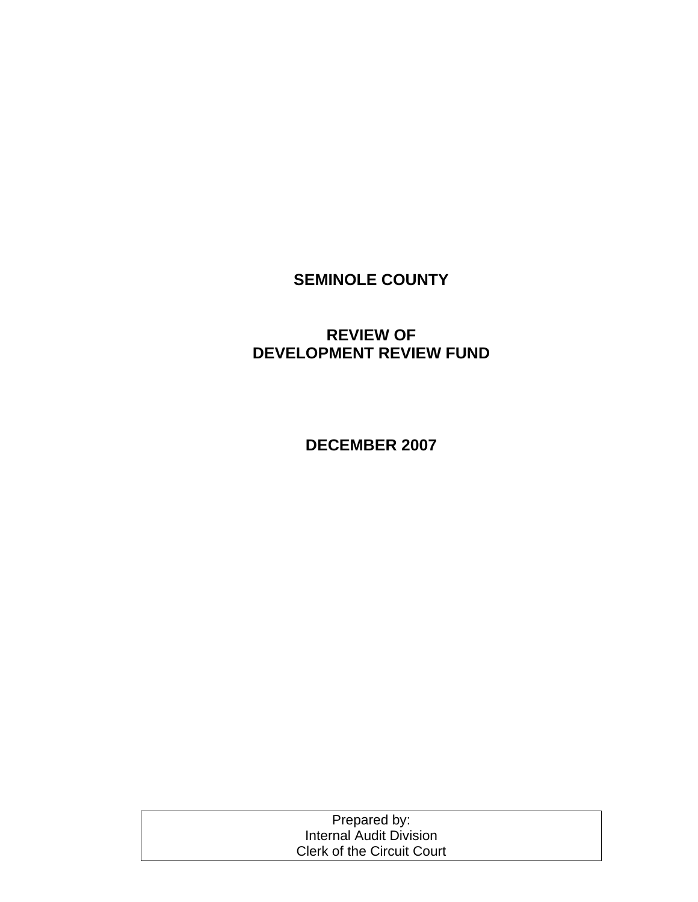# **SEMINOLE COUNTY**

## **REVIEW OF DEVELOPMENT REVIEW FUND**

**DECEMBER 2007** 

| Prepared by:                      |  |
|-----------------------------------|--|
| Internal Audit Division           |  |
| <b>Clerk of the Circuit Court</b> |  |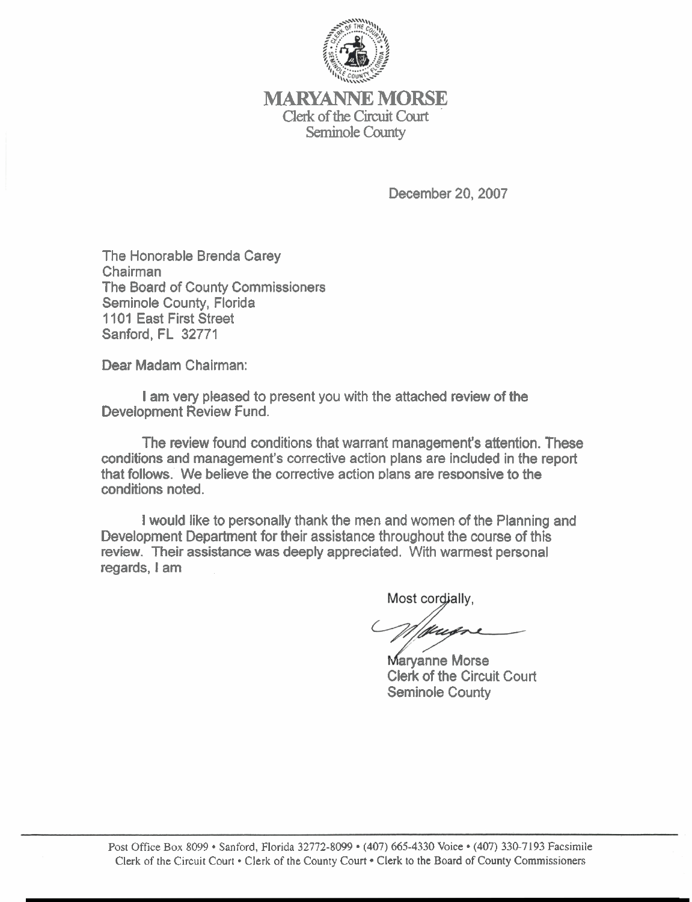

**MARYANNE MORSE Clerk** of **the** Circuit Court **Seminole County** 

December **20,2007** 

The Honorable Brenda Carey Chairman The Board of County Commissioners Seminole County, Florida **1101** East First Street Sanford, FL **32771** 

Dear Madam Chairman:

I am very pleased to present you with the attached review of the Development Review Fund.

The review found conditions that warrant management's attention. These conditions and management's corrective action plans are included in the report that follows. We believe the corrective action plans are responsive to the conditions noted.

I would like to personally thank the men and women of the Planning and Development Department for their assistance throughout the course of this review. Their assistance was deeply appreciated. With warmest personal regards, I am

Most cordially,

Maryanne Morse Clerk of the Circuit Court Seminole County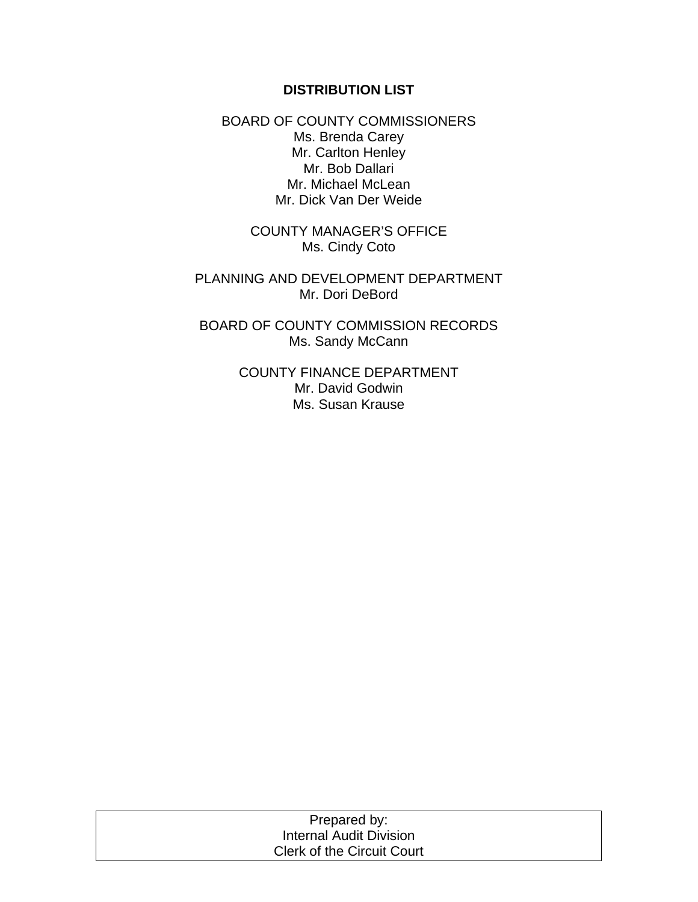#### **DISTRIBUTION LIST**

BOARD OF COUNTY COMMISSIONERS Ms. Brenda Carey Mr. Carlton Henley Mr. Bob Dallari Mr. Michael McLean Mr. Dick Van Der Weide

> COUNTY MANAGER'S OFFICE Ms. Cindy Coto

PLANNING AND DEVELOPMENT DEPARTMENT Mr. Dori DeBord

BOARD OF COUNTY COMMISSION RECORDS Ms. Sandy McCann

> COUNTY FINANCE DEPARTMENT Mr. David Godwin Ms. Susan Krause

| Prepared by:                      |  |
|-----------------------------------|--|
| Internal Audit Division           |  |
| <b>Clerk of the Circuit Court</b> |  |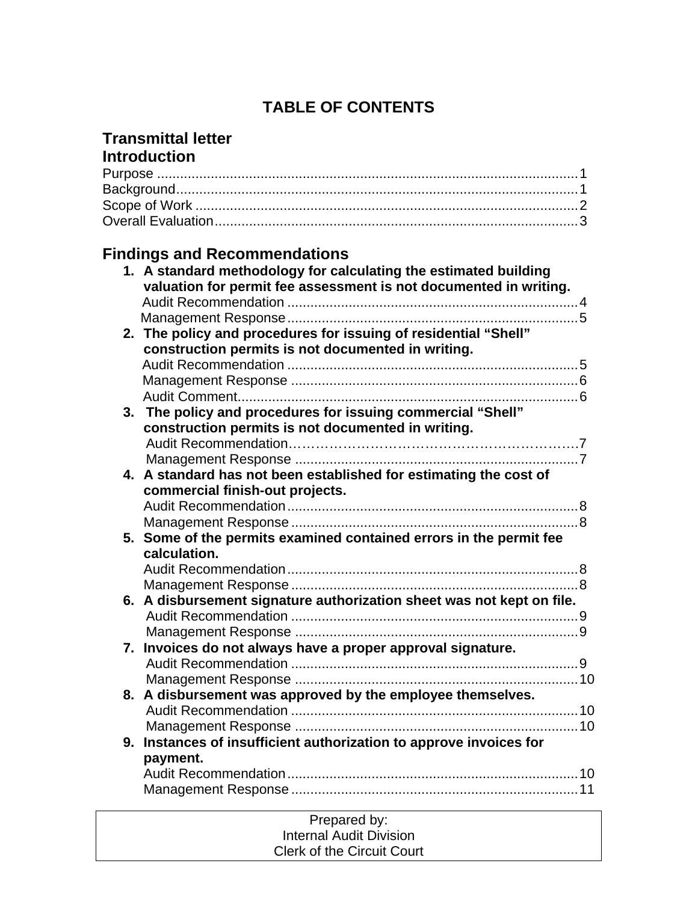# **TABLE OF CONTENTS**

## **Transmittal letter Introduction**

| <b>Findings and Recommendations</b>                                                                                                   |  |
|---------------------------------------------------------------------------------------------------------------------------------------|--|
| 1. A standard methodology for calculating the estimated building<br>valuation for permit fee assessment is not documented in writing. |  |
|                                                                                                                                       |  |
|                                                                                                                                       |  |
| 2. The policy and procedures for issuing of residential "Shell"                                                                       |  |
| construction permits is not documented in writing.                                                                                    |  |
|                                                                                                                                       |  |
|                                                                                                                                       |  |
|                                                                                                                                       |  |
| 3. The policy and procedures for issuing commercial "Shell"                                                                           |  |
| construction permits is not documented in writing.                                                                                    |  |
|                                                                                                                                       |  |
|                                                                                                                                       |  |
| 4. A standard has not been established for estimating the cost of                                                                     |  |
| commercial finish-out projects.                                                                                                       |  |
|                                                                                                                                       |  |
|                                                                                                                                       |  |
| 5. Some of the permits examined contained errors in the permit fee                                                                    |  |
| calculation.                                                                                                                          |  |
|                                                                                                                                       |  |
|                                                                                                                                       |  |
| 6. A disbursement signature authorization sheet was not kept on file.                                                                 |  |
|                                                                                                                                       |  |
|                                                                                                                                       |  |
| 7. Invoices do not always have a proper approval signature.                                                                           |  |
|                                                                                                                                       |  |
|                                                                                                                                       |  |
| 8. A disbursement was approved by the employee themselves.                                                                            |  |
|                                                                                                                                       |  |
|                                                                                                                                       |  |
| 9. Instances of insufficient authorization to approve invoices for<br>payment.                                                        |  |
|                                                                                                                                       |  |
|                                                                                                                                       |  |
|                                                                                                                                       |  |
| Droparod but                                                                                                                          |  |

| Prepared by:                      |  |
|-----------------------------------|--|
| Internal Audit Division           |  |
| <b>Clerk of the Circuit Court</b> |  |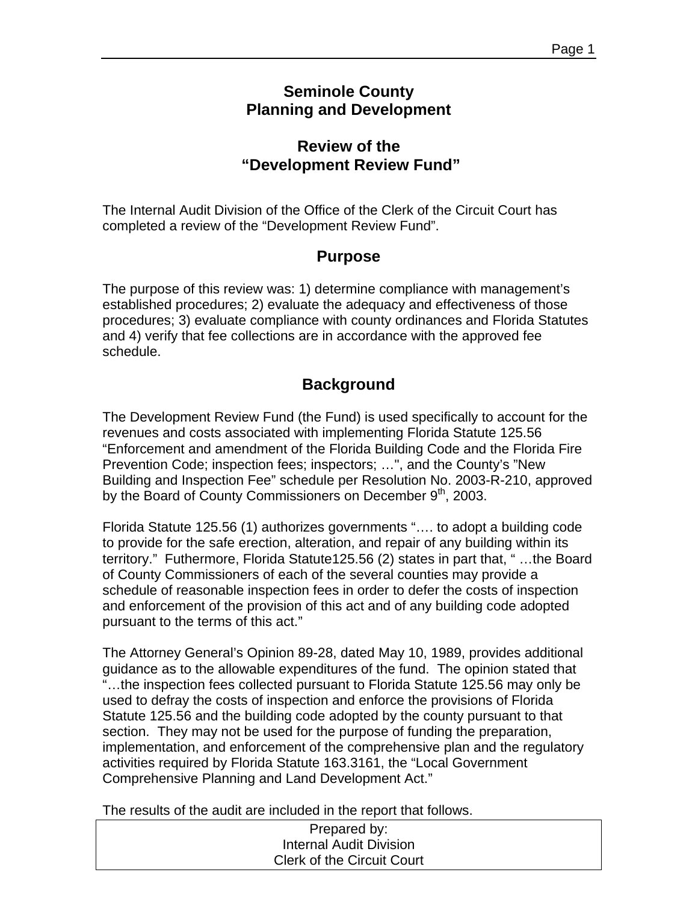## **Seminole County Planning and Development**

## **Review of the "Development Review Fund"**

The Internal Audit Division of the Office of the Clerk of the Circuit Court has completed a review of the "Development Review Fund".

## **Purpose**

The purpose of this review was: 1) determine compliance with management's established procedures; 2) evaluate the adequacy and effectiveness of those procedures; 3) evaluate compliance with county ordinances and Florida Statutes and 4) verify that fee collections are in accordance with the approved fee schedule.

## **Background**

The Development Review Fund (the Fund) is used specifically to account for the revenues and costs associated with implementing Florida Statute 125.56 "Enforcement and amendment of the Florida Building Code and the Florida Fire Prevention Code; inspection fees; inspectors; …", and the County's "New Building and Inspection Fee" schedule per Resolution No. 2003-R-210, approved by the Board of County Commissioners on December 9<sup>th</sup>, 2003.

Florida Statute 125.56 (1) authorizes governments "…. to adopt a building code to provide for the safe erection, alteration, and repair of any building within its territory." Futhermore, Florida Statute125.56 (2) states in part that, " …the Board of County Commissioners of each of the several counties may provide a schedule of reasonable inspection fees in order to defer the costs of inspection and enforcement of the provision of this act and of any building code adopted pursuant to the terms of this act."

The Attorney General's Opinion 89-28, dated May 10, 1989, provides additional guidance as to the allowable expenditures of the fund. The opinion stated that "…the inspection fees collected pursuant to Florida Statute 125.56 may only be used to defray the costs of inspection and enforce the provisions of Florida Statute 125.56 and the building code adopted by the county pursuant to that section. They may not be used for the purpose of funding the preparation, implementation, and enforcement of the comprehensive plan and the regulatory activities required by Florida Statute 163.3161, the "Local Government Comprehensive Planning and Land Development Act."

The results of the audit are included in the report that follows.

| Prepared by:                      |  |
|-----------------------------------|--|
| Internal Audit Division           |  |
| <b>Clerk of the Circuit Court</b> |  |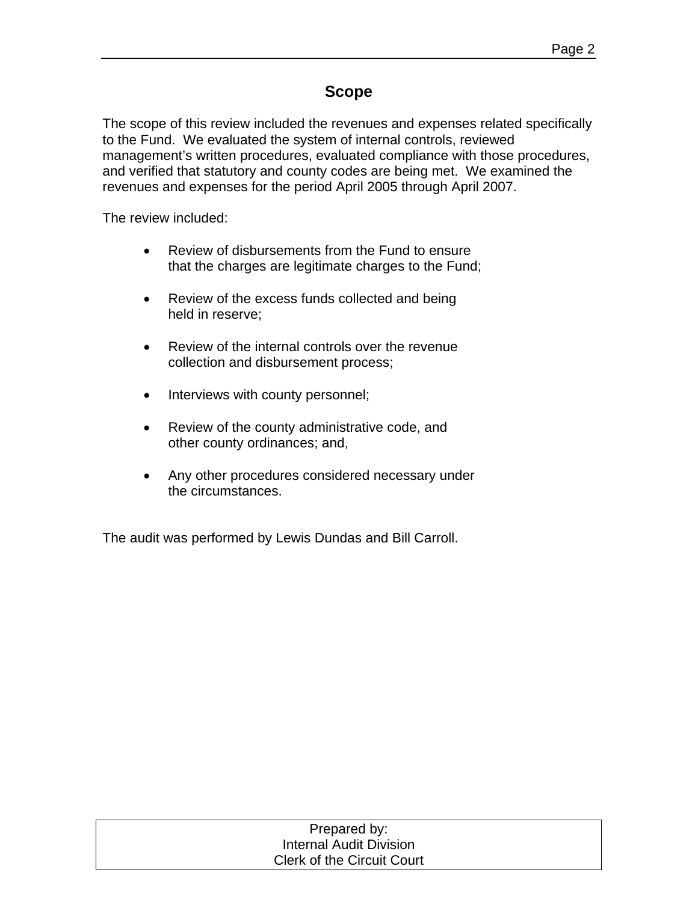## **Scope**

The scope of this review included the revenues and expenses related specifically to the Fund. We evaluated the system of internal controls, reviewed management's written procedures, evaluated compliance with those procedures, and verified that statutory and county codes are being met. We examined the revenues and expenses for the period April 2005 through April 2007.

The review included:

- Review of disbursements from the Fund to ensure that the charges are legitimate charges to the Fund;
- Review of the excess funds collected and being held in reserve;
- Review of the internal controls over the revenue collection and disbursement process;
- Interviews with county personnel;
- Review of the county administrative code, and other county ordinances; and,
- Any other procedures considered necessary under the circumstances.

The audit was performed by Lewis Dundas and Bill Carroll.

| Prepared by:                      |  |
|-----------------------------------|--|
| Internal Audit Division           |  |
| <b>Clerk of the Circuit Court</b> |  |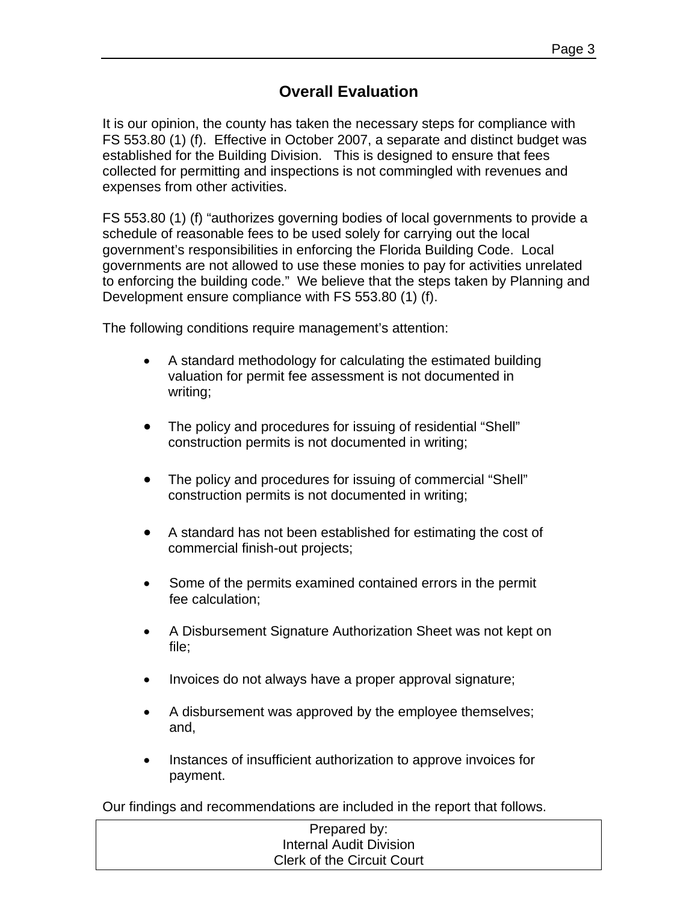## **Overall Evaluation**

It is our opinion, the county has taken the necessary steps for compliance with FS 553.80 (1) (f). Effective in October 2007, a separate and distinct budget was established for the Building Division. This is designed to ensure that fees collected for permitting and inspections is not commingled with revenues and expenses from other activities.

FS 553.80 (1) (f) "authorizes governing bodies of local governments to provide a schedule of reasonable fees to be used solely for carrying out the local government's responsibilities in enforcing the Florida Building Code. Local governments are not allowed to use these monies to pay for activities unrelated to enforcing the building code." We believe that the steps taken by Planning and Development ensure compliance with FS 553.80 (1) (f).

The following conditions require management's attention:

- A standard methodology for calculating the estimated building valuation for permit fee assessment is not documented in writing;
- The policy and procedures for issuing of residential "Shell" construction permits is not documented in writing;
- The policy and procedures for issuing of commercial "Shell" construction permits is not documented in writing;
- A standard has not been established for estimating the cost of commercial finish-out projects;
- Some of the permits examined contained errors in the permit fee calculation;
- A Disbursement Signature Authorization Sheet was not kept on file;
- Invoices do not always have a proper approval signature;
- A disbursement was approved by the employee themselves; and,
- Instances of insufficient authorization to approve invoices for payment.

Our findings and recommendations are included in the report that follows.

| Prepared by:                      |  |
|-----------------------------------|--|
| Internal Audit Division           |  |
| <b>Clerk of the Circuit Court</b> |  |
|                                   |  |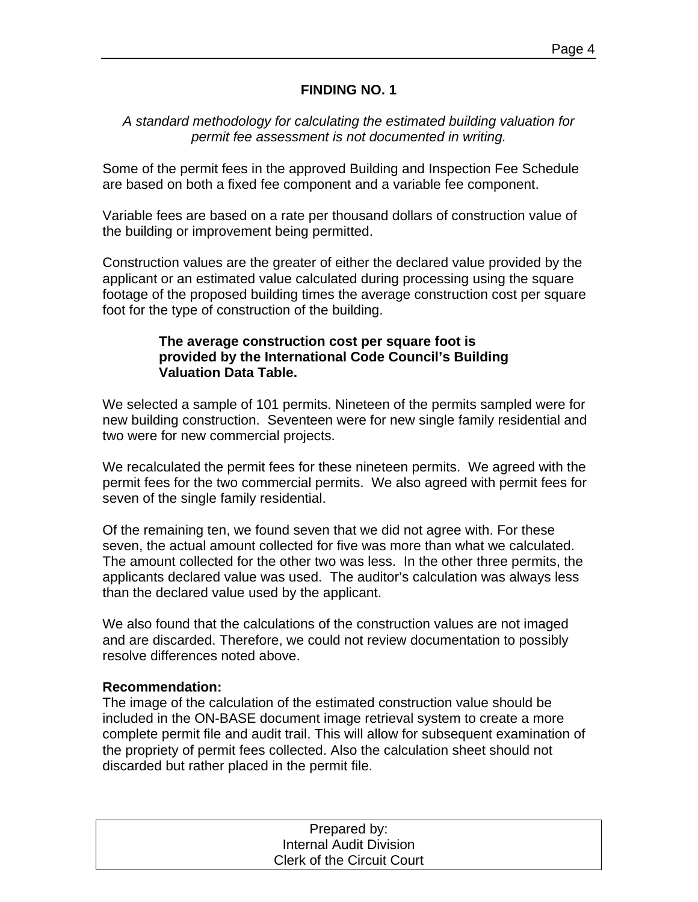#### **FINDING NO. 1**

#### *A standard methodology for calculating the estimated building valuation for permit fee assessment is not documented in writing.*

Some of the permit fees in the approved Building and Inspection Fee Schedule are based on both a fixed fee component and a variable fee component.

Variable fees are based on a rate per thousand dollars of construction value of the building or improvement being permitted.

Construction values are the greater of either the declared value provided by the applicant or an estimated value calculated during processing using the square footage of the proposed building times the average construction cost per square foot for the type of construction of the building.

#### **The average construction cost per square foot is provided by the International Code Council's Building Valuation Data Table.**

We selected a sample of 101 permits. Nineteen of the permits sampled were for new building construction. Seventeen were for new single family residential and two were for new commercial projects.

We recalculated the permit fees for these nineteen permits. We agreed with the permit fees for the two commercial permits. We also agreed with permit fees for seven of the single family residential.

Of the remaining ten, we found seven that we did not agree with. For these seven, the actual amount collected for five was more than what we calculated. The amount collected for the other two was less. In the other three permits, the applicants declared value was used. The auditor's calculation was always less than the declared value used by the applicant.

We also found that the calculations of the construction values are not imaged and are discarded. Therefore, we could not review documentation to possibly resolve differences noted above.

#### **Recommendation:**

The image of the calculation of the estimated construction value should be included in the ON-BASE document image retrieval system to create a more complete permit file and audit trail. This will allow for subsequent examination of the propriety of permit fees collected. Also the calculation sheet should not discarded but rather placed in the permit file.

| Prepared by:                      |  |
|-----------------------------------|--|
| <b>Internal Audit Division</b>    |  |
| <b>Clerk of the Circuit Court</b> |  |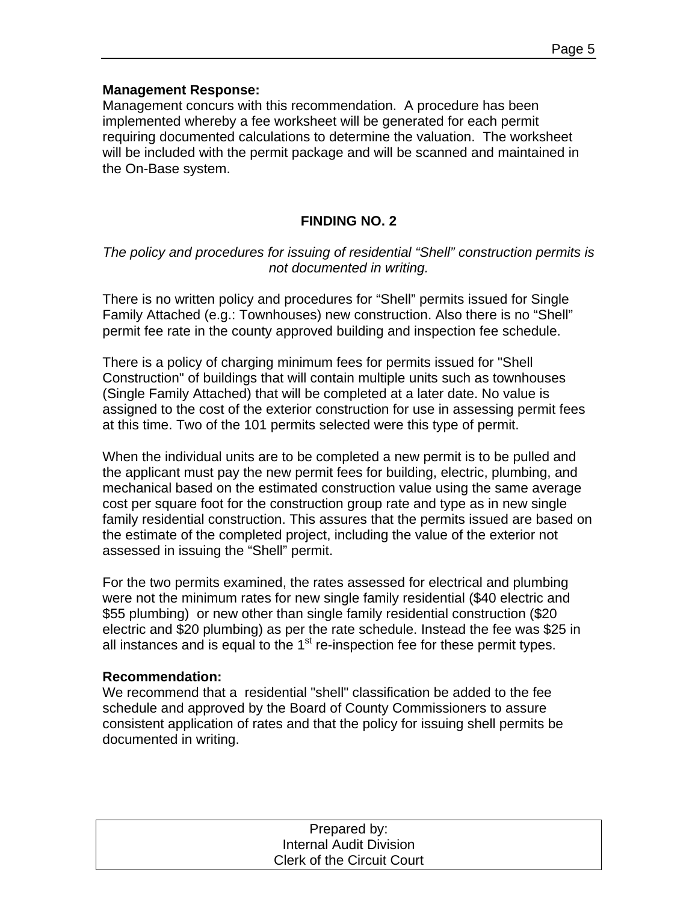Management concurs with this recommendation. A procedure has been implemented whereby a fee worksheet will be generated for each permit requiring documented calculations to determine the valuation. The worksheet will be included with the permit package and will be scanned and maintained in the On-Base system.

#### **FINDING NO. 2**

#### *The policy and procedures for issuing of residential "Shell" construction permits is not documented in writing.*

There is no written policy and procedures for "Shell" permits issued for Single Family Attached (e.g.: Townhouses) new construction. Also there is no "Shell" permit fee rate in the county approved building and inspection fee schedule.

There is a policy of charging minimum fees for permits issued for "Shell Construction" of buildings that will contain multiple units such as townhouses (Single Family Attached) that will be completed at a later date. No value is assigned to the cost of the exterior construction for use in assessing permit fees at this time. Two of the 101 permits selected were this type of permit.

When the individual units are to be completed a new permit is to be pulled and the applicant must pay the new permit fees for building, electric, plumbing, and mechanical based on the estimated construction value using the same average cost per square foot for the construction group rate and type as in new single family residential construction. This assures that the permits issued are based on the estimate of the completed project, including the value of the exterior not assessed in issuing the "Shell" permit.

For the two permits examined, the rates assessed for electrical and plumbing were not the minimum rates for new single family residential (\$40 electric and \$55 plumbing) or new other than single family residential construction (\$20 electric and \$20 plumbing) as per the rate schedule. Instead the fee was \$25 in all instances and is equal to the  $1<sup>st</sup>$  re-inspection fee for these permit types.

#### **Recommendation:**

We recommend that a residential "shell" classification be added to the fee schedule and approved by the Board of County Commissioners to assure consistent application of rates and that the policy for issuing shell permits be documented in writing.

| Prepared by:                      |  |
|-----------------------------------|--|
| <b>Internal Audit Division</b>    |  |
| <b>Clerk of the Circuit Court</b> |  |
|                                   |  |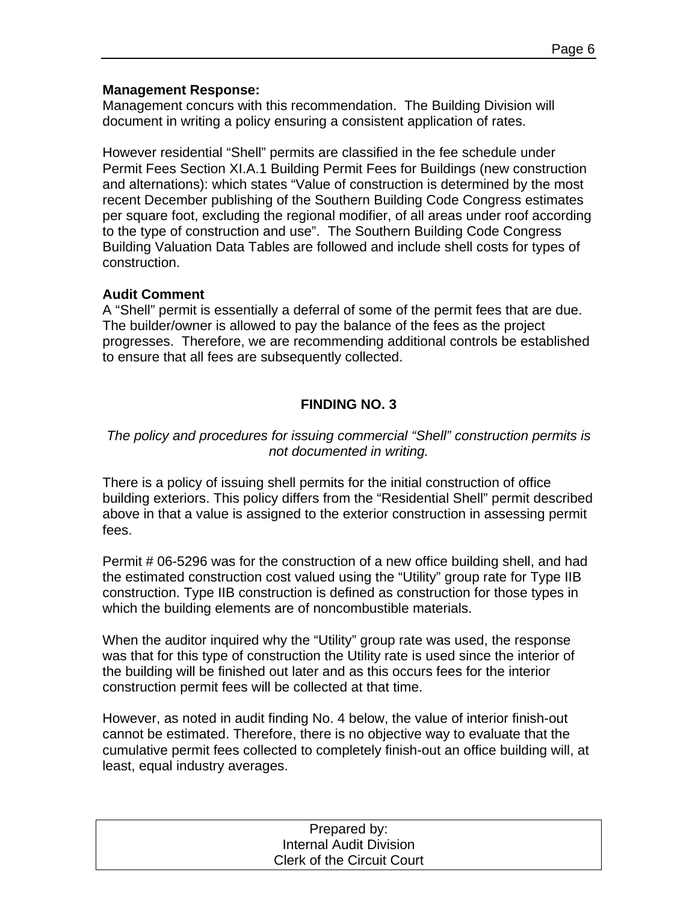Management concurs with this recommendation. The Building Division will document in writing a policy ensuring a consistent application of rates.

However residential "Shell" permits are classified in the fee schedule under Permit Fees Section XI.A.1 Building Permit Fees for Buildings (new construction and alternations): which states "Value of construction is determined by the most recent December publishing of the Southern Building Code Congress estimates per square foot, excluding the regional modifier, of all areas under roof according to the type of construction and use". The Southern Building Code Congress Building Valuation Data Tables are followed and include shell costs for types of construction.

#### **Audit Comment**

A "Shell" permit is essentially a deferral of some of the permit fees that are due. The builder/owner is allowed to pay the balance of the fees as the project progresses. Therefore, we are recommending additional controls be established to ensure that all fees are subsequently collected.

## **FINDING NO. 3**

#### *The policy and procedures for issuing commercial "Shell" construction permits is not documented in writing.*

There is a policy of issuing shell permits for the initial construction of office building exteriors. This policy differs from the "Residential Shell" permit described above in that a value is assigned to the exterior construction in assessing permit fees.

Permit # 06-5296 was for the construction of a new office building shell, and had the estimated construction cost valued using the "Utility" group rate for Type IIB construction. Type IIB construction is defined as construction for those types in which the building elements are of noncombustible materials.

When the auditor inquired why the "Utility" group rate was used, the response was that for this type of construction the Utility rate is used since the interior of the building will be finished out later and as this occurs fees for the interior construction permit fees will be collected at that time.

However, as noted in audit finding No. 4 below, the value of interior finish-out cannot be estimated. Therefore, there is no objective way to evaluate that the cumulative permit fees collected to completely finish-out an office building will, at least, equal industry averages.

| Prepared by:                      |  |
|-----------------------------------|--|
| <b>Internal Audit Division</b>    |  |
| <b>Clerk of the Circuit Court</b> |  |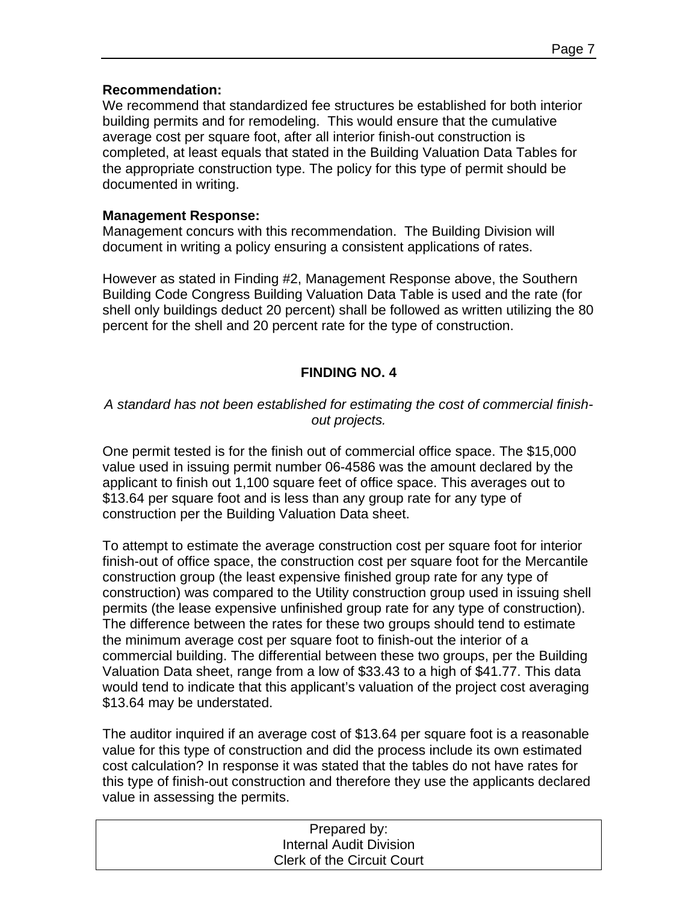#### **Recommendation:**

We recommend that standardized fee structures be established for both interior building permits and for remodeling. This would ensure that the cumulative average cost per square foot, after all interior finish-out construction is completed, at least equals that stated in the Building Valuation Data Tables for the appropriate construction type. The policy for this type of permit should be documented in writing.

#### **Management Response:**

Management concurs with this recommendation. The Building Division will document in writing a policy ensuring a consistent applications of rates.

However as stated in Finding #2, Management Response above, the Southern Building Code Congress Building Valuation Data Table is used and the rate (for shell only buildings deduct 20 percent) shall be followed as written utilizing the 80 percent for the shell and 20 percent rate for the type of construction.

### **FINDING NO. 4**

#### *A standard has not been established for estimating the cost of commercial finishout projects.*

One permit tested is for the finish out of commercial office space. The \$15,000 value used in issuing permit number 06-4586 was the amount declared by the applicant to finish out 1,100 square feet of office space. This averages out to \$13.64 per square foot and is less than any group rate for any type of construction per the Building Valuation Data sheet.

To attempt to estimate the average construction cost per square foot for interior finish-out of office space, the construction cost per square foot for the Mercantile construction group (the least expensive finished group rate for any type of construction) was compared to the Utility construction group used in issuing shell permits (the lease expensive unfinished group rate for any type of construction). The difference between the rates for these two groups should tend to estimate the minimum average cost per square foot to finish-out the interior of a commercial building. The differential between these two groups, per the Building Valuation Data sheet, range from a low of \$33.43 to a high of \$41.77. This data would tend to indicate that this applicant's valuation of the project cost averaging \$13.64 may be understated.

The auditor inquired if an average cost of \$13.64 per square foot is a reasonable value for this type of construction and did the process include its own estimated cost calculation? In response it was stated that the tables do not have rates for this type of finish-out construction and therefore they use the applicants declared value in assessing the permits.

| Prepared by:                      |  |
|-----------------------------------|--|
| Internal Audit Division           |  |
| <b>Clerk of the Circuit Court</b> |  |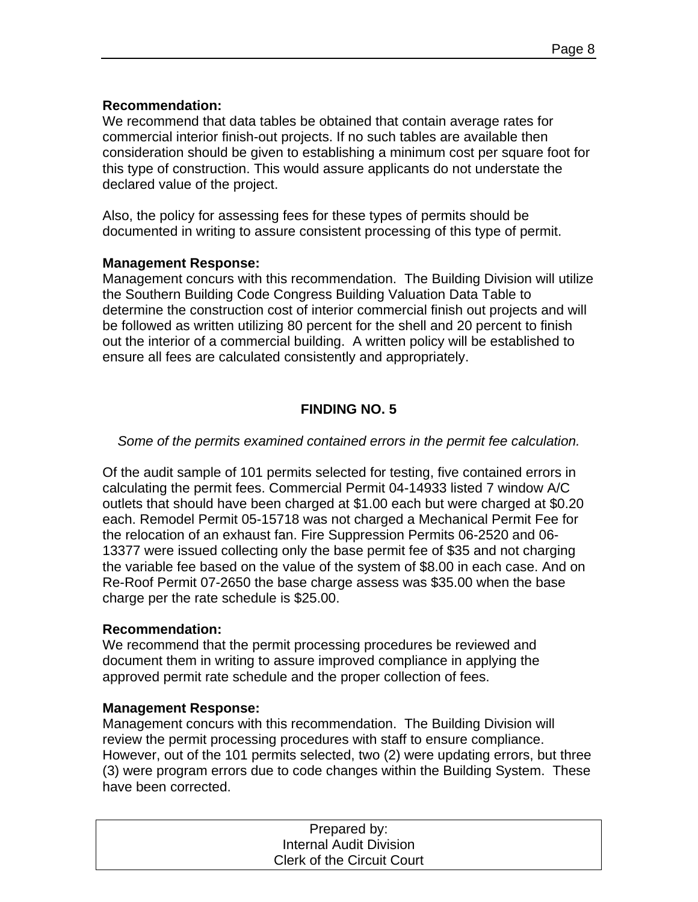#### **Recommendation:**

We recommend that data tables be obtained that contain average rates for commercial interior finish-out projects. If no such tables are available then consideration should be given to establishing a minimum cost per square foot for this type of construction. This would assure applicants do not understate the declared value of the project.

Also, the policy for assessing fees for these types of permits should be documented in writing to assure consistent processing of this type of permit.

#### **Management Response:**

Management concurs with this recommendation. The Building Division will utilize the Southern Building Code Congress Building Valuation Data Table to determine the construction cost of interior commercial finish out projects and will be followed as written utilizing 80 percent for the shell and 20 percent to finish out the interior of a commercial building. A written policy will be established to ensure all fees are calculated consistently and appropriately.

## **FINDING NO. 5**

#### *Some of the permits examined contained errors in the permit fee calculation.*

Of the audit sample of 101 permits selected for testing, five contained errors in calculating the permit fees. Commercial Permit 04-14933 listed 7 window A/C outlets that should have been charged at \$1.00 each but were charged at \$0.20 each. Remodel Permit 05-15718 was not charged a Mechanical Permit Fee for the relocation of an exhaust fan. Fire Suppression Permits 06-2520 and 06- 13377 were issued collecting only the base permit fee of \$35 and not charging the variable fee based on the value of the system of \$8.00 in each case. And on Re-Roof Permit 07-2650 the base charge assess was \$35.00 when the base charge per the rate schedule is \$25.00.

#### **Recommendation:**

We recommend that the permit processing procedures be reviewed and document them in writing to assure improved compliance in applying the approved permit rate schedule and the proper collection of fees.

#### **Management Response:**

Management concurs with this recommendation. The Building Division will review the permit processing procedures with staff to ensure compliance. However, out of the 101 permits selected, two (2) were updating errors, but three (3) were program errors due to code changes within the Building System. These have been corrected.

| Prepared by:                      |  |
|-----------------------------------|--|
| Internal Audit Division           |  |
| <b>Clerk of the Circuit Court</b> |  |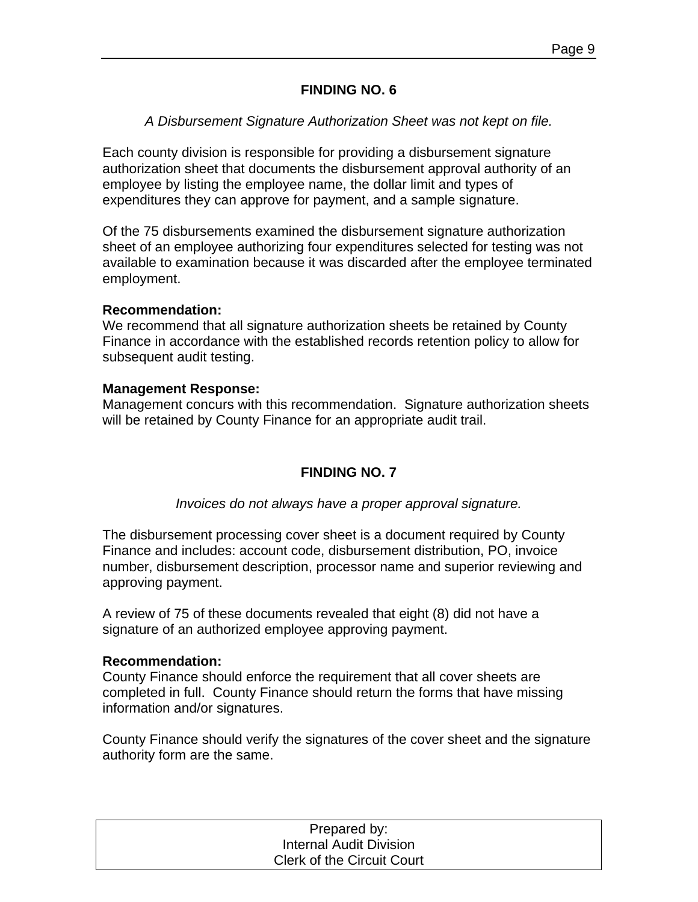#### **FINDING NO. 6**

#### *A Disbursement Signature Authorization Sheet was not kept on file.*

Each county division is responsible for providing a disbursement signature authorization sheet that documents the disbursement approval authority of an employee by listing the employee name, the dollar limit and types of expenditures they can approve for payment, and a sample signature.

Of the 75 disbursements examined the disbursement signature authorization sheet of an employee authorizing four expenditures selected for testing was not available to examination because it was discarded after the employee terminated employment.

#### **Recommendation:**

We recommend that all signature authorization sheets be retained by County Finance in accordance with the established records retention policy to allow for subsequent audit testing.

#### **Management Response:**

Management concurs with this recommendation. Signature authorization sheets will be retained by County Finance for an appropriate audit trail.

#### **FINDING NO. 7**

#### *Invoices do not always have a proper approval signature.*

The disbursement processing cover sheet is a document required by County Finance and includes: account code, disbursement distribution, PO, invoice number, disbursement description, processor name and superior reviewing and approving payment.

A review of 75 of these documents revealed that eight (8) did not have a signature of an authorized employee approving payment.

#### **Recommendation:**

County Finance should enforce the requirement that all cover sheets are completed in full. County Finance should return the forms that have missing information and/or signatures.

County Finance should verify the signatures of the cover sheet and the signature authority form are the same.

| Prepared by:                      |  |
|-----------------------------------|--|
| Internal Audit Division           |  |
| <b>Clerk of the Circuit Court</b> |  |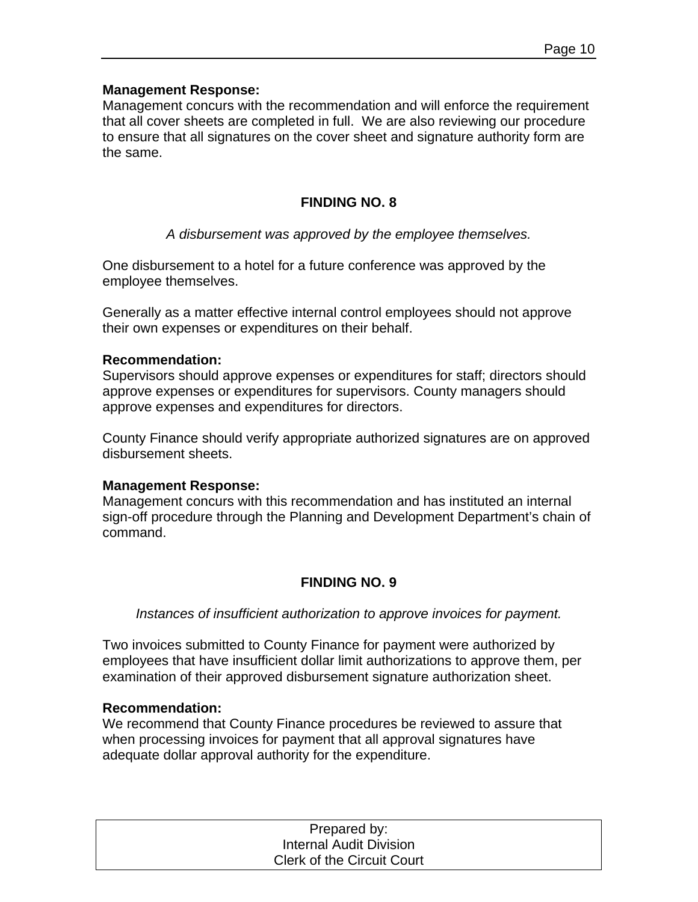Management concurs with the recommendation and will enforce the requirement that all cover sheets are completed in full. We are also reviewing our procedure to ensure that all signatures on the cover sheet and signature authority form are the same.

#### **FINDING NO. 8**

#### *A disbursement was approved by the employee themselves.*

One disbursement to a hotel for a future conference was approved by the employee themselves.

Generally as a matter effective internal control employees should not approve their own expenses or expenditures on their behalf.

#### **Recommendation:**

Supervisors should approve expenses or expenditures for staff; directors should approve expenses or expenditures for supervisors. County managers should approve expenses and expenditures for directors.

County Finance should verify appropriate authorized signatures are on approved disbursement sheets.

#### **Management Response:**

Management concurs with this recommendation and has instituted an internal sign-off procedure through the Planning and Development Department's chain of command.

#### **FINDING NO. 9**

*Instances of insufficient authorization to approve invoices for payment.* 

Two invoices submitted to County Finance for payment were authorized by employees that have insufficient dollar limit authorizations to approve them, per examination of their approved disbursement signature authorization sheet.

#### **Recommendation:**

We recommend that County Finance procedures be reviewed to assure that when processing invoices for payment that all approval signatures have adequate dollar approval authority for the expenditure.

| Prepared by:                      |  |
|-----------------------------------|--|
| Internal Audit Division           |  |
| <b>Clerk of the Circuit Court</b> |  |
|                                   |  |